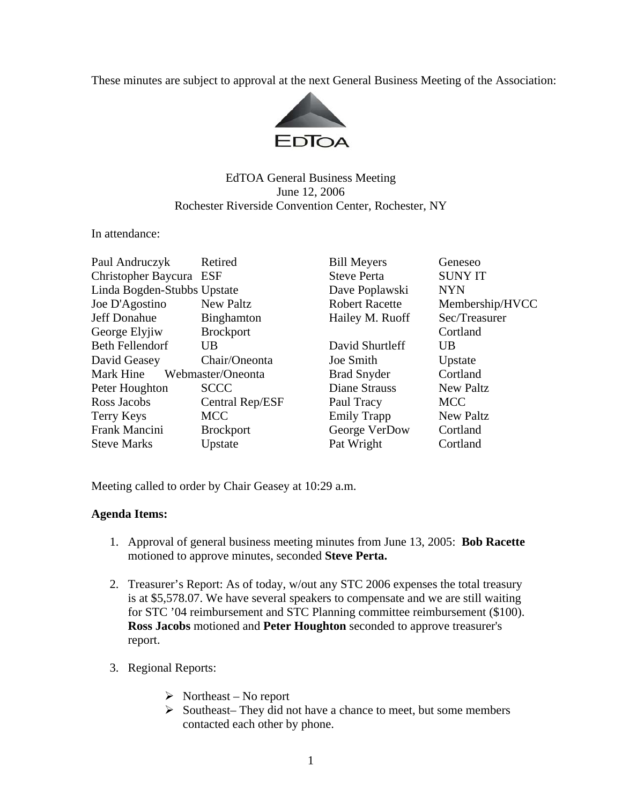These minutes are subject to approval at the next General Business Meeting of the Association:



## EdTOA General Business Meeting June 12, 2006 Rochester Riverside Convention Center, Rochester, NY

## In attendance:

| Paul Andruczyk              | Retired           | <b>Bill Meyers</b>    | Geneseo          |
|-----------------------------|-------------------|-----------------------|------------------|
| Christopher Baycura ESF     |                   | <b>Steve Perta</b>    | <b>SUNY IT</b>   |
| Linda Bogden-Stubbs Upstate |                   | Dave Poplawski        | <b>NYN</b>       |
| Joe D'Agostino              | <b>New Paltz</b>  | <b>Robert Racette</b> | Membership/HVCC  |
| <b>Jeff Donahue</b>         | Binghamton        | Hailey M. Ruoff       | Sec/Treasurer    |
| George Elyjiw               | <b>Brockport</b>  |                       | Cortland         |
| <b>Beth Fellendorf</b>      | UB                | David Shurtleff       | UB               |
| David Geasey                | Chair/Oneonta     | Joe Smith             | Upstate          |
| Mark Hine                   | Webmaster/Oneonta | <b>Brad Snyder</b>    | Cortland         |
| Peter Houghton              | <b>SCCC</b>       | <b>Diane Strauss</b>  | <b>New Paltz</b> |
| Ross Jacobs                 | Central Rep/ESF   | Paul Tracy            | <b>MCC</b>       |
| Terry Keys                  | <b>MCC</b>        | <b>Emily Trapp</b>    | <b>New Paltz</b> |
| <b>Frank Mancini</b>        | <b>Brockport</b>  | George VerDow         | Cortland         |
| <b>Steve Marks</b>          | Upstate           | Pat Wright            | Cortland         |
|                             |                   |                       |                  |

Meeting called to order by Chair Geasey at 10:29 a.m.

## **Agenda Items:**

- 1. Approval of general business meeting minutes from June 13, 2005: **Bob Racette** motioned to approve minutes, seconded **Steve Perta.**
- 2. Treasurer's Report: As of today, w/out any STC 2006 expenses the total treasury is at \$5,578.07. We have several speakers to compensate and we are still waiting for STC '04 reimbursement and STC Planning committee reimbursement (\$100). **Ross Jacobs** motioned and **Peter Houghton** seconded to approve treasurer's report.
- 3. Regional Reports:
	- $\triangleright$  Northeast No report
	- $\triangleright$  Southeast– They did not have a chance to meet, but some members contacted each other by phone.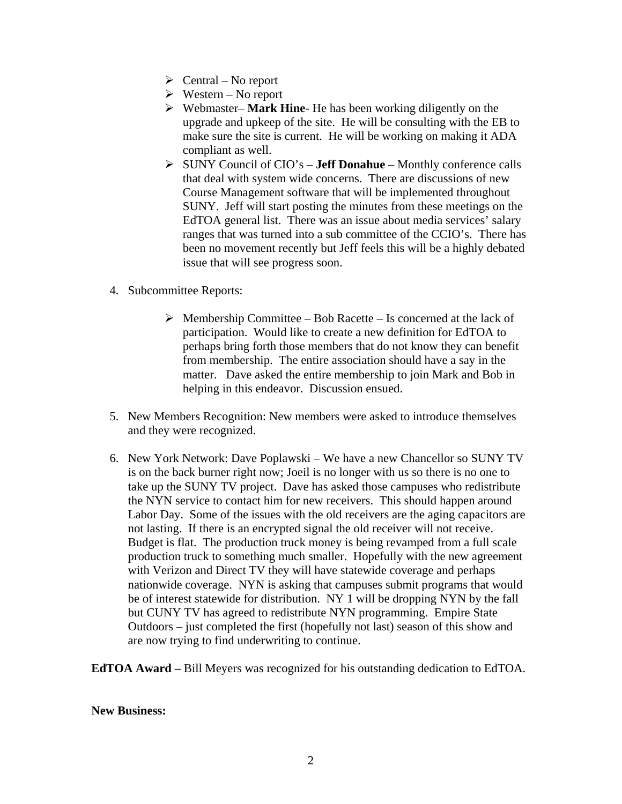- $\triangleright$  Central No report
- $\triangleright$  Western No report
- ¾ Webmaster– **Mark Hine** He has been working diligently on the upgrade and upkeep of the site. He will be consulting with the EB to make sure the site is current. He will be working on making it ADA compliant as well.
- ¾ SUNY Council of CIO's **Jeff Donahue**  Monthly conference calls that deal with system wide concerns. There are discussions of new Course Management software that will be implemented throughout SUNY. Jeff will start posting the minutes from these meetings on the EdTOA general list. There was an issue about media services' salary ranges that was turned into a sub committee of the CCIO's. There has been no movement recently but Jeff feels this will be a highly debated issue that will see progress soon.
- 4. Subcommittee Reports:
	- $\triangleright$  Membership Committee Bob Racette Is concerned at the lack of participation. Would like to create a new definition for EdTOA to perhaps bring forth those members that do not know they can benefit from membership. The entire association should have a say in the matter. Dave asked the entire membership to join Mark and Bob in helping in this endeavor. Discussion ensued.
- 5. New Members Recognition: New members were asked to introduce themselves and they were recognized.
- 6. New York Network: Dave Poplawski We have a new Chancellor so SUNY TV is on the back burner right now; Joeil is no longer with us so there is no one to take up the SUNY TV project. Dave has asked those campuses who redistribute the NYN service to contact him for new receivers. This should happen around Labor Day. Some of the issues with the old receivers are the aging capacitors are not lasting. If there is an encrypted signal the old receiver will not receive. Budget is flat. The production truck money is being revamped from a full scale production truck to something much smaller. Hopefully with the new agreement with Verizon and Direct TV they will have statewide coverage and perhaps nationwide coverage. NYN is asking that campuses submit programs that would be of interest statewide for distribution. NY 1 will be dropping NYN by the fall but CUNY TV has agreed to redistribute NYN programming. Empire State Outdoors – just completed the first (hopefully not last) season of this show and are now trying to find underwriting to continue.

**EdTOA Award –** Bill Meyers was recognized for his outstanding dedication to EdTOA.

## **New Business:**